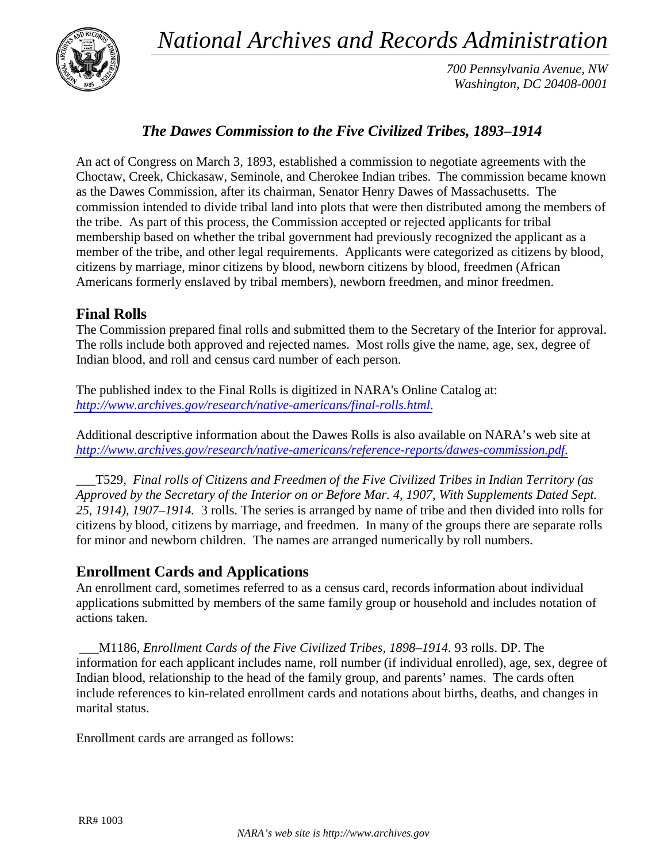*National Archives and Records Administration*



*700 Pennsylvania Avenue, NW Washington, DC 20408-0001*

## *The Dawes Commission to the Five Civilized Tribes, 1893–1914*

An act of Congress on March 3, 1893, established a commission to negotiate agreements with the Choctaw, Creek, Chickasaw, Seminole, and Cherokee Indian tribes. The commission became known as the Dawes Commission, after its chairman, Senator Henry Dawes of Massachusetts. The commission intended to divide tribal land into plots that were then distributed among the members of the tribe. As part of this process, the Commission accepted or rejected applicants for tribal membership based on whether the tribal government had previously recognized the applicant as a member of the tribe, and other legal requirements. Applicants were categorized as citizens by blood, citizens by marriage, minor citizens by blood, newborn citizens by blood, freedmen (African Americans formerly enslaved by tribal members), newborn freedmen, and minor freedmen.

## **Final Rolls**

The Commission prepared final rolls and submitted them to the Secretary of the Interior for approval. The rolls include both approved and rejected names. Most rolls give the name, age, sex, degree of Indian blood, and roll and census card number of each person.

The published index to the Final Rolls is digitized in NARA's Online Catalog at: *<http://www.archives.gov/research/native-americans/final-rolls.html>*.

Additional descriptive information about the Dawes Rolls is also available on NARA's web site at *[http://www.archives.gov/research/native-americans/reference-reports/dawes-commission.pdf.](http://www.archives.gov/research/native-americans/reference-reports/dawes-commission.pdf)*

\_\_\_T529*, Final rolls of Citizens and Freedmen of the Five Civilized Tribes in Indian Territory (as Approved by the Secretary of the Interior on or Before Mar. 4, 1907, With Supplements Dated Sept. 25, 1914), 1907–1914.* 3 rolls. The series is arranged by name of tribe and then divided into rolls for citizens by blood, citizens by marriage, and freedmen. In many of the groups there are separate rolls for minor and newborn children. The names are arranged numerically by roll numbers.

## **Enrollment Cards and Applications**

An enrollment card, sometimes referred to as a census card, records information about individual applications submitted by members of the same family group or household and includes notation of actions taken.

\_\_\_M1186*, Enrollment Cards of the Five Civilized Tribes, 1898–1914.* 93 rolls. DP. The information for each applicant includes name, roll number (if individual enrolled), age, sex, degree of Indian blood, relationship to the head of the family group, and parents' names. The cards often include references to kin-related enrollment cards and notations about births, deaths, and changes in marital status.

Enrollment cards are arranged as follows: